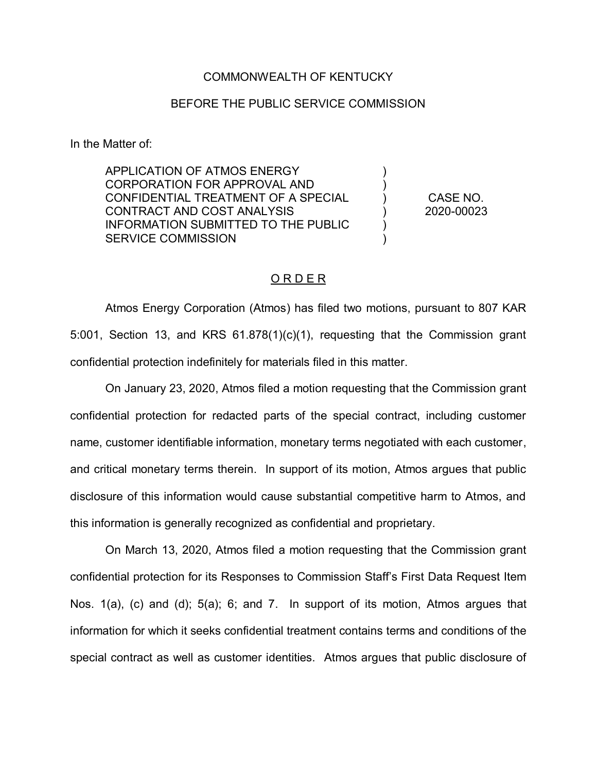## COMMONWEALTH OF KENTUCKY

## BEFORE THE PUBLIC SERVICE COMMISSION

In the Matter of:

APPLICATION OF ATMOS ENERGY CORPORATION FOR APPROVAL AND CONFIDENTIAL TREATMENT OF A SPECIAL CONTRACT AND COST ANALYSIS INFORMATION SUBMITTED TO THE PUBLIC SERVICE COMMISSION )  $\lambda$ ) ) ) ) CASE NO. 2020-00023

## O R D E R

Atmos Energy Corporation (Atmos) has filed two motions, pursuant to 807 KAR 5:001, Section 13, and KRS 61.878(1)(c)(1), requesting that the Commission grant confidential protection indefinitely for materials filed in this matter.

On January 23, 2020, Atmos filed a motion requesting that the Commission grant confidential protection for redacted parts of the special contract, including customer name, customer identifiable information, monetary terms negotiated with each customer, and critical monetary terms therein. In support of its motion, Atmos argues that public disclosure of this information would cause substantial competitive harm to Atmos, and this information is generally recognized as confidential and proprietary.

On March 13, 2020, Atmos filed a motion requesting that the Commission grant confidential protection for its Responses to Commission Staff's First Data Request Item Nos. 1(a), (c) and (d); 5(a); 6; and 7. In support of its motion, Atmos argues that information for which it seeks confidential treatment contains terms and conditions of the special contract as well as customer identities. Atmos argues that public disclosure of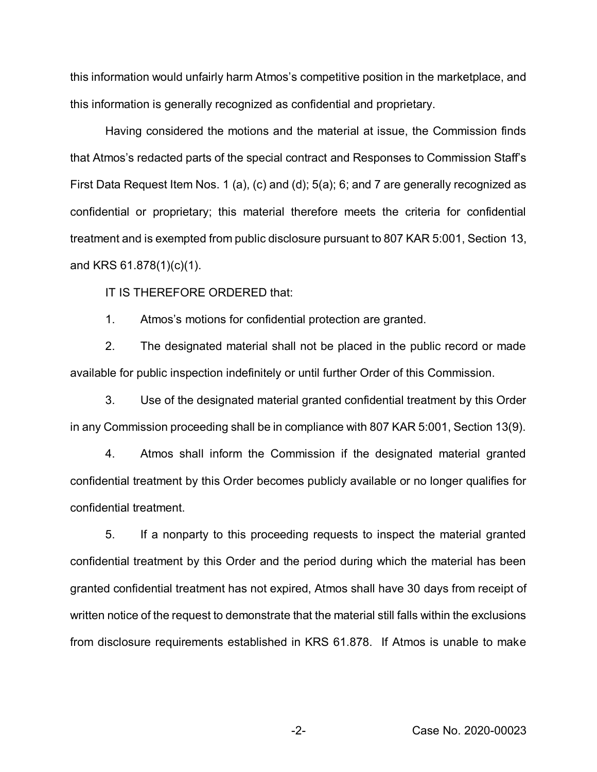this information would unfairly harm Atmos's competitive position in the marketplace, and this information is generally recognized as confidential and proprietary.

Having considered the motions and the material at issue, the Commission finds that Atmos's redacted parts of the special contract and Responses to Commission Staff's First Data Request Item Nos. 1 (a), (c) and (d); 5(a); 6; and 7 are generally recognized as confidential or proprietary; this material therefore meets the criteria for confidential treatment and is exempted from public disclosure pursuant to 807 KAR 5:001, Section 13, and KRS 61.878(1)(c)(1).

IT IS THEREFORE ORDERED that:

1. Atmos's motions for confidential protection are granted.

2. The designated material shall not be placed in the public record or made available for public inspection indefinitely or until further Order of this Commission.

3. Use of the designated material granted confidential treatment by this Order in any Commission proceeding shall be in compliance with 807 KAR 5:001, Section 13(9).

4. Atmos shall inform the Commission if the designated material granted confidential treatment by this Order becomes publicly available or no longer qualifies for confidential treatment.

5. If a nonparty to this proceeding requests to inspect the material granted confidential treatment by this Order and the period during which the material has been granted confidential treatment has not expired, Atmos shall have 30 days from receipt of written notice of the request to demonstrate that the material still falls within the exclusions from disclosure requirements established in KRS 61.878. If Atmos is unable to make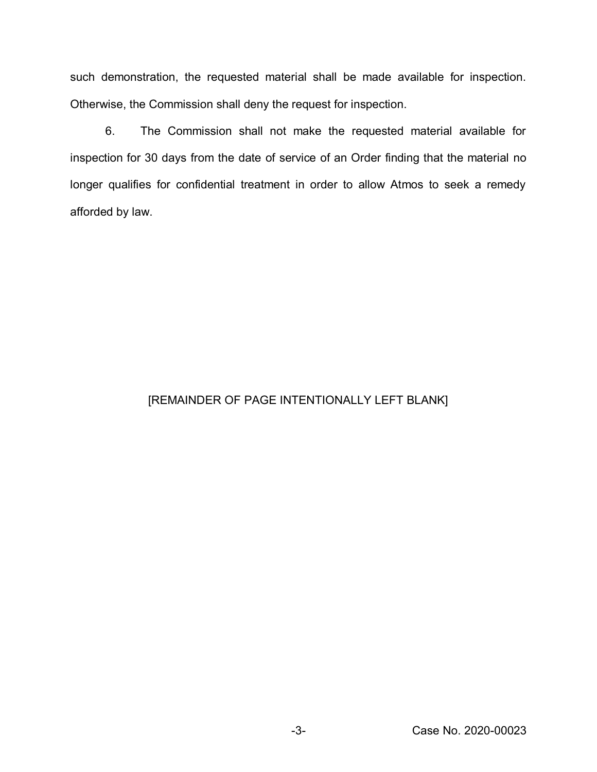such demonstration, the requested material shall be made available for inspection. Otherwise, the Commission shall deny the request for inspection.

6. The Commission shall not make the requested material available for inspection for 30 days from the date of service of an Order finding that the material no longer qualifies for confidential treatment in order to allow Atmos to seek a remedy afforded by law.

## [REMAINDER OF PAGE INTENTIONALLY LEFT BLANK]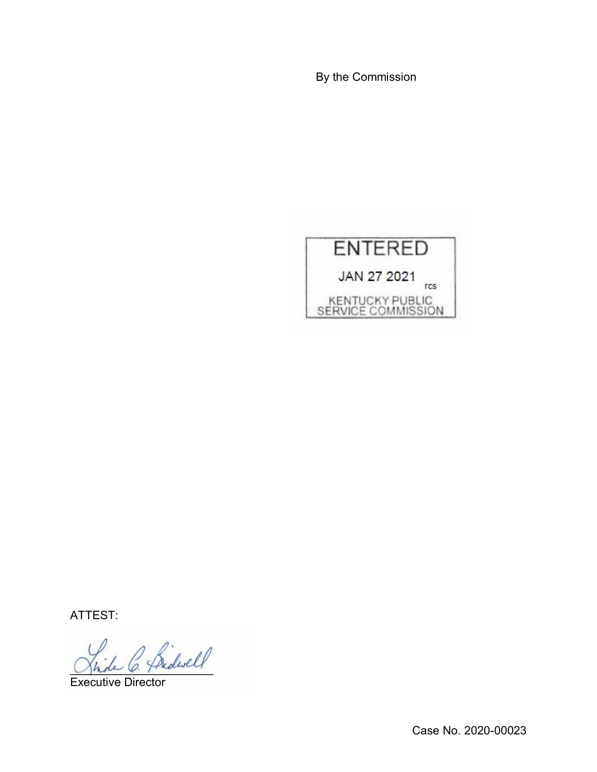By the Commission



ATTEST:

2 Bidwell

Executive Director

Case No. 2020-00023